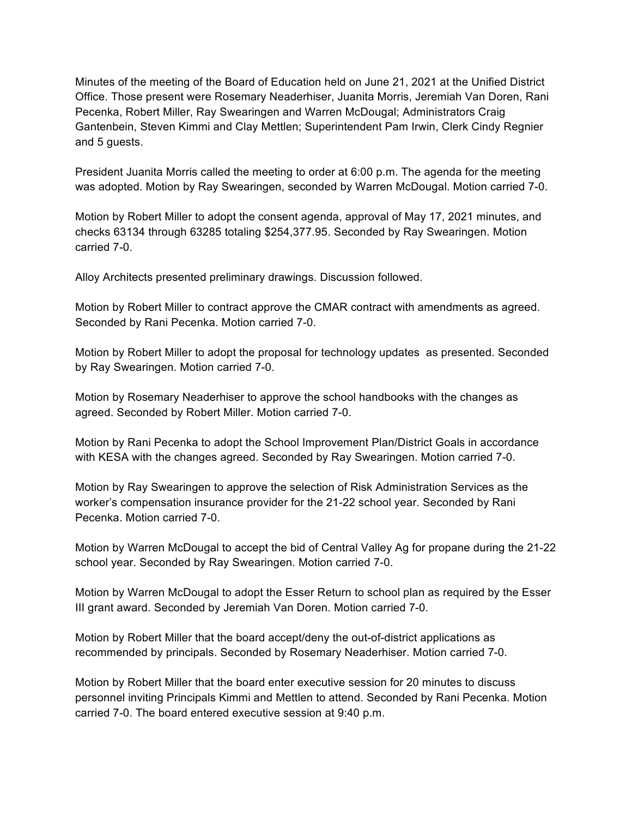Minutes of the meeting of the Board of Education held on June 21, 2021 at the Unified District Office. Those present were Rosemary Neaderhiser, Juanita Morris, Jeremiah Van Doren, Rani Pecenka, Robert Miller, Ray Swearingen and Warren McDougal; Administrators Craig Gantenbein, Steven Kimmi and Clay Mettlen; Superintendent Pam Irwin, Clerk Cindy Regnier and 5 guests.

President Juanita Morris called the meeting to order at 6:00 p.m. The agenda for the meeting was adopted. Motion by Ray Swearingen, seconded by Warren McDougal. Motion carried 7-0.

Motion by Robert Miller to adopt the consent agenda, approval of May 17, 2021 minutes, and checks 63134 through 63285 totaling \$254,377.95. Seconded by Ray Swearingen. Motion carried 7-0.

Alloy Architects presented preliminary drawings. Discussion followed.

Motion by Robert Miller to contract approve the CMAR contract with amendments as agreed. Seconded by Rani Pecenka. Motion carried 7-0.

Motion by Robert Miller to adopt the proposal for technology updates as presented. Seconded by Ray Swearingen. Motion carried 7-0.

Motion by Rosemary Neaderhiser to approve the school handbooks with the changes as agreed. Seconded by Robert Miller. Motion carried 7-0.

Motion by Rani Pecenka to adopt the School Improvement Plan/District Goals in accordance with KESA with the changes agreed. Seconded by Ray Swearingen. Motion carried 7-0.

Motion by Ray Swearingen to approve the selection of Risk Administration Services as the worker's compensation insurance provider for the 21-22 school year. Seconded by Rani Pecenka. Motion carried 7-0.

Motion by Warren McDougal to accept the bid of Central Valley Ag for propane during the 21-22 school year. Seconded by Ray Swearingen. Motion carried 7-0.

Motion by Warren McDougal to adopt the Esser Return to school plan as required by the Esser III grant award. Seconded by Jeremiah Van Doren. Motion carried 7-0.

Motion by Robert Miller that the board accept/deny the out-of-district applications as recommended by principals. Seconded by Rosemary Neaderhiser. Motion carried 7-0.

Motion by Robert Miller that the board enter executive session for 20 minutes to discuss personnel inviting Principals Kimmi and Mettlen to attend. Seconded by Rani Pecenka. Motion carried 7-0. The board entered executive session at 9:40 p.m.